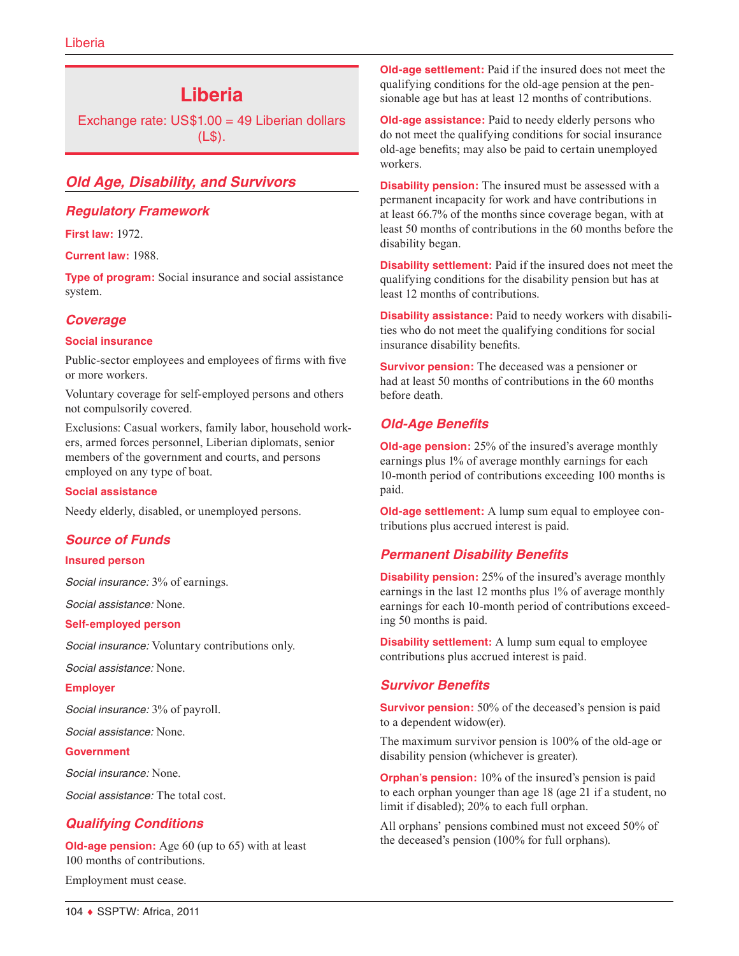# **Liberia**

Exchange rate: US\$1.00 = 49 Liberian dollars  $(L$)$ .

# *Old Age, Disability, and Survivors*

# *Regulatory Framework*

**First law:** 1972.

**Current law:** 1988.

**Type of program:** Social insurance and social assistance system.

### *Coverage*

#### **Social insurance**

Public-sector employees and employees of firms with five or more workers.

Voluntary coverage for self-employed persons and others not compulsorily covered.

Exclusions: Casual workers, family labor, household workers, armed forces personnel, Liberian diplomats, senior members of the government and courts, and persons employed on any type of boat.

#### **Social assistance**

Needy elderly, disabled, or unemployed persons.

### *Source of Funds*

#### **Insured person**

*Social insurance:* 3% of earnings.

*Social assistance:* None.

#### **Self-employed person**

*Social insurance:* Voluntary contributions only.

*Social assistance:* None.

#### **Employer**

*Social insurance:* 3% of payroll.

*Social assistance:* None.

#### **Government**

*Social insurance:* None.

*Social assistance:* The total cost.

# *Qualifying Conditions*

**Old-age pension:** Age 60 (up to 65) with at least 100 months of contributions.

Employment must cease.

**Old-age settlement:** Paid if the insured does not meet the qualifying conditions for the old-age pension at the pensionable age but has at least 12 months of contributions.

**Old-age assistance:** Paid to needy elderly persons who do not meet the qualifying conditions for social insurance old-age benefits; may also be paid to certain unemployed workers.

**Disability pension:** The insured must be assessed with a permanent incapacity for work and have contributions in at least 66.7% of the months since coverage began, with at least 50 months of contributions in the 60 months before the disability began.

**Disability settlement:** Paid if the insured does not meet the qualifying conditions for the disability pension but has at least 12 months of contributions.

**Disability assistance:** Paid to needy workers with disabilities who do not meet the qualifying conditions for social insurance disability benefits.

**Survivor pension:** The deceased was a pensioner or had at least 50 months of contributions in the 60 months before death.

# *Old-Age Benefits*

**Old-age pension:** 25% of the insured's average monthly earnings plus 1% of average monthly earnings for each 10-month period of contributions exceeding 100 months is paid.

**Old-age settlement:** A lump sum equal to employee contributions plus accrued interest is paid.

### *Permanent Disability Benefits*

**Disability pension:** 25% of the insured's average monthly earnings in the last 12 months plus 1% of average monthly earnings for each 10-month period of contributions exceeding 50 months is paid.

**Disability settlement:** A lump sum equal to employee contributions plus accrued interest is paid.

### *Survivor Benefits*

**Survivor pension:** 50% of the deceased's pension is paid to a dependent widow(er).

The maximum survivor pension is 100% of the old-age or disability pension (whichever is greater).

**Orphan's pension:** 10% of the insured's pension is paid to each orphan younger than age 18 (age 21 if a student, no limit if disabled); 20% to each full orphan.

All orphans' pensions combined must not exceed 50% of the deceased's pension (100% for full orphans).